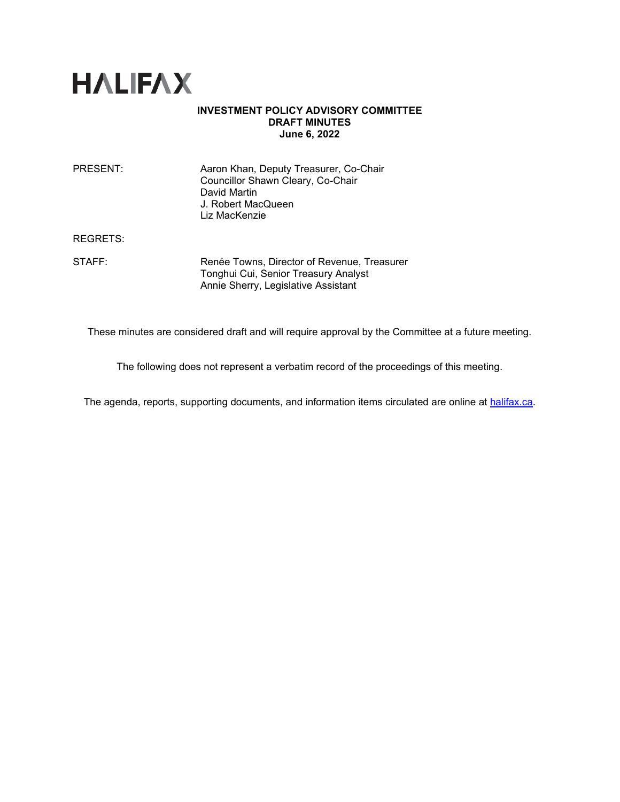

### **INVESTMENT POLICY ADVISORY COMMITTEE DRAFT MINUTES June 6, 2022**

| PRESENT: | Aaron Khan, Deputy Treasurer, Co-Chair<br>Councillor Shawn Cleary, Co-Chair<br>David Martin<br>J. Robert MacQueen<br>Liz MacKenzie |
|----------|------------------------------------------------------------------------------------------------------------------------------------|
|          |                                                                                                                                    |

REGRETS:

STAFF: Renée Towns, Director of Revenue, Treasurer Tonghui Cui, Senior Treasury Analyst Annie Sherry, Legislative Assistant

These minutes are considered draft and will require approval by the Committee at a future meeting.

The following does not represent a verbatim record of the proceedings of this meeting.

The agenda, reports, supporting documents, and information items circulated are online at [halifax.ca.](http://www.halifax.ca/)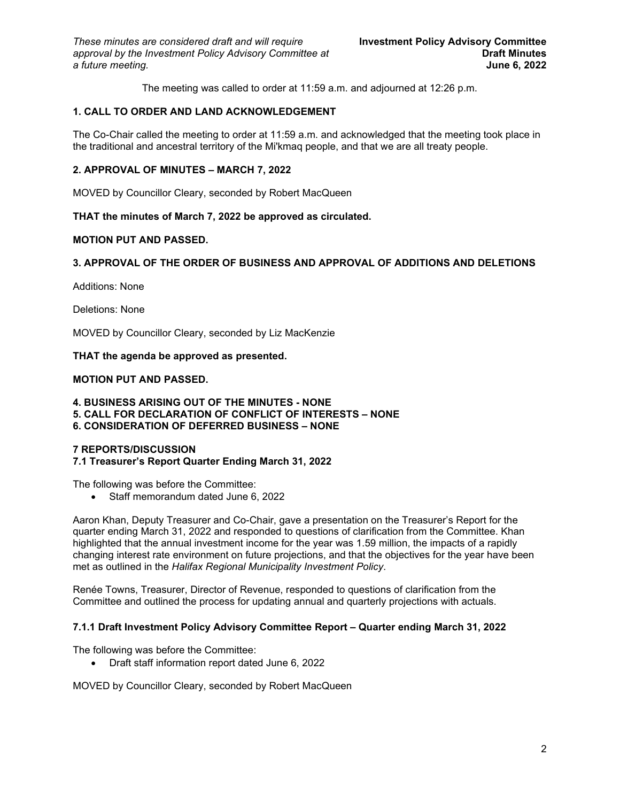The meeting was called to order at 11:59 a.m. and adjourned at 12:26 p.m.

# **1. CALL TO ORDER AND LAND ACKNOWLEDGEMENT**

The Co-Chair called the meeting to order at 11:59 a.m. and acknowledged that the meeting took place in the traditional and ancestral territory of the Mi'kmaq people, and that we are all treaty people.

## **2. APPROVAL OF MINUTES – MARCH 7, 2022**

MOVED by Councillor Cleary, seconded by Robert MacQueen

### **THAT the minutes of March 7, 2022 be approved as circulated.**

### **MOTION PUT AND PASSED.**

### **3. APPROVAL OF THE ORDER OF BUSINESS AND APPROVAL OF ADDITIONS AND DELETIONS**

Additions: None

Deletions: None

MOVED by Councillor Cleary, seconded by Liz MacKenzie

**THAT the agenda be approved as presented.** 

### **MOTION PUT AND PASSED.**

**4. BUSINESS ARISING OUT OF THE MINUTES - NONE**

- **5. CALL FOR DECLARATION OF CONFLICT OF INTERESTS NONE**
- **6. CONSIDERATION OF DEFERRED BUSINESS NONE**

## **7 REPORTS/DISCUSSION**

**7.1 Treasurer's Report Quarter Ending March 31, 2022**

The following was before the Committee:

• Staff memorandum dated June 6, 2022

Aaron Khan, Deputy Treasurer and Co-Chair, gave a presentation on the Treasurer's Report for the quarter ending March 31, 2022 and responded to questions of clarification from the Committee. Khan highlighted that the annual investment income for the year was 1.59 million, the impacts of a rapidly changing interest rate environment on future projections, and that the objectives for the year have been met as outlined in the *Halifax Regional Municipality Investment Policy*.

Renée Towns, Treasurer, Director of Revenue, responded to questions of clarification from the Committee and outlined the process for updating annual and quarterly projections with actuals.

#### **7.1.1 Draft Investment Policy Advisory Committee Report – Quarter ending March 31, 2022**

The following was before the Committee:

• Draft staff information report dated June 6, 2022

MOVED by Councillor Cleary, seconded by Robert MacQueen